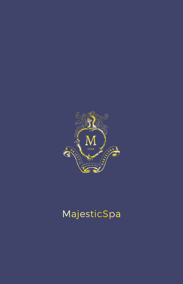

# MajesticSpa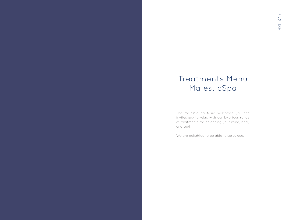## Treatments Menu MajesticSpa

The MajesticSpa team welcomes you and invites you to relax with our luxurious range of treatments for balancing your mind, body and soul.

We are delighted to be able to serve you.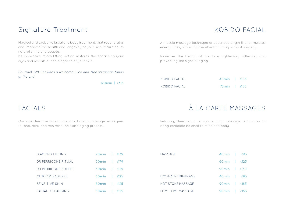### Signature Treatment

## KOBIDO FACIAL

Magical and exclusive facial and body treatment, that regenerates and improves the health and longevity of your skin, returning its natural shine and beauty.

Its innovative micro-lifting action restores the sparkle to your eyes and reveals all the elegance of your skin.

Gourmet SPA: Includes a welcome juice and Mediterranean tapas at the end.

120min | €315

A muscle massage technique of Japanese origin that stimulates energy lines, achieving the effect of lifting without surgery.

Increases the beauty of the face, tightening, softening, and preventing the signs of aging.

| KOBIDO FACIAL | $40min$ $\leq 105$ |  |
|---------------|--------------------|--|
| KOBIDO FACIAL | 75min   €150       |  |

### FACIAL<sub>S</sub>

Our facial treatments combine Kobido facial massage techniques to tone, relax and minimise the skin's aging process.

## À LA CARTE MASSAGES

Relaxing, therapeutic or sports body massage techniques to bring complete balance to mind and body.

| <b>DIAMOND LIFTING</b> | 90 $min$   $\in$ 179      |  |
|------------------------|---------------------------|--|
| DR PERRICONE RITUAL    | 90 $min$   $\in$ 179      |  |
| DR PERRICONE BUFFET    | 60 $min$   $\in$ 125      |  |
| CITRIC PLEASURES       | 60 $min$   $\in$ 125      |  |
| <b>SENSITIVE SKIN</b>  | 60 $min$   $\epsilon$ 125 |  |
| FACIAL CLEANSING       | 60 min $\sqrt{25}$        |  |

| 60 min $ $ $\in$ 125               |      |
|------------------------------------|------|
| 90 $min$   $\in$ 150               |      |
| $40 \text{min}$ $\leftarrow$ $695$ |      |
| 90 $min$   $\in$ 185               |      |
| 90min                              | €185 |
|                                    |      |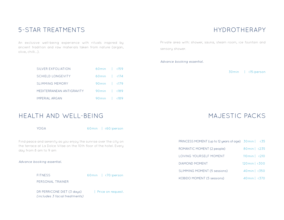### 5-STAR TREATMENTS

An exclusive well-being experience with rituals inspired by ancient tradition and raw materials taken from nature (argan, olive, chilli...).

| SILVER EXEOLIATION        | 60min   €159         |  |  |
|---------------------------|----------------------|--|--|
| SCHIFLD LONGEVITY         | 60 $min$   $\in$ 174 |  |  |
| SLIMMING MEMORY           | 90 $min$   $\in$ 179 |  |  |
| MEDITERRANEAN ANTIGRAVITY | 90min   €189         |  |  |
| <b>IMPERIAL ARGAN</b>     | 90 $min$   $\in 189$ |  |  |

### HEALTH AND WELL-BEING

YOGA 60min | €60/person

Find peace and serenity as you enjoy the sunrise over the city on the terrace at La Dolce Vitae on the 10th floor of the hotel. Every day from 8 am to 9 am

### Advance booking essential.

FITNESS 60min | €70/person

PERSONAL TRAINER

DR PERRICONE DIET (3 days) | Price on request. (includes 3 facial treatments)

HYDROTHERAPY

Private area with: shower, sauna, steam room, ice fountain and sensory shower.

Advance booking essential.

30min | €15/person

MAJESTIC PACKS

| PRINCESS MOMENT (up to 12 years of age) 30 min | €35                   |
|------------------------------------------------|-----------------------|
| ROMANTIC MOMENT (2 people)                     | 80min   €235          |
| LOVING YOURSELF MOMENT                         | 110 min $ $ $\in$ 210 |
| DIAMOND MOMENT                                 | 120min   €300         |
| SLIMMING MOMENT (5 sessions)                   | 40min   €350          |
| KOBIDO MOMENT (5 sessions)                     | $40min$ ∈370          |